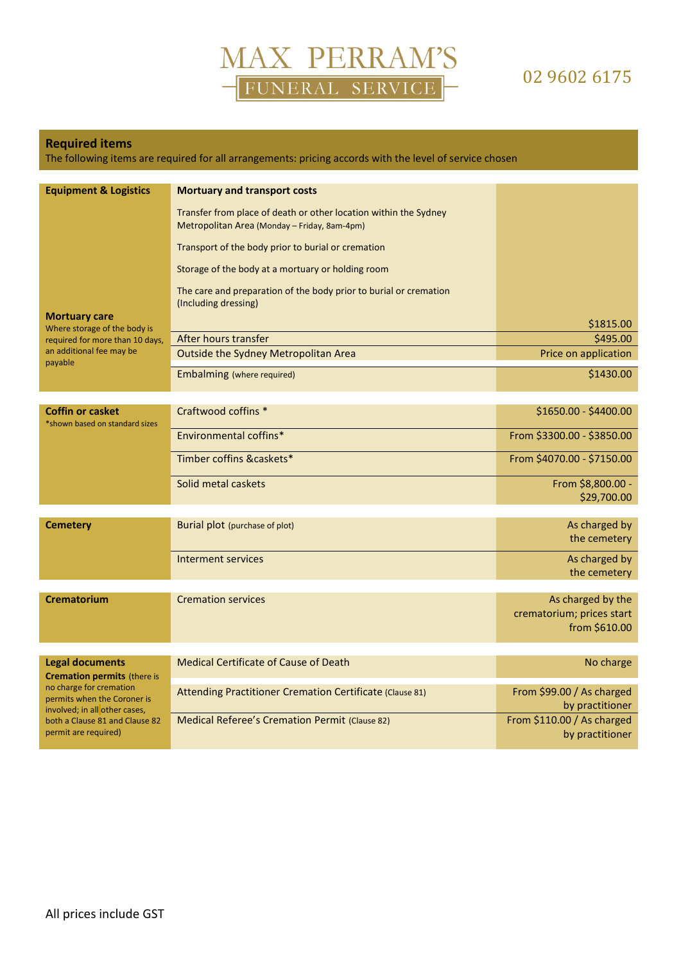

### 02 9602 6175

#### **Required items**

The following items are required for all arrangements: pricing accords with the level of service chosen

| <b>Equipment &amp; Logistics</b><br><b>Mortuary care</b>                                                                                                                                                          | <b>Mortuary and transport costs</b><br>Transfer from place of death or other location within the Sydney<br>Metropolitan Area (Monday - Friday, 8am-4pm)<br>Transport of the body prior to burial or cremation<br>Storage of the body at a mortuary or holding room<br>The care and preparation of the body prior to burial or cremation<br>(Including dressing) |                                                                 |
|-------------------------------------------------------------------------------------------------------------------------------------------------------------------------------------------------------------------|-----------------------------------------------------------------------------------------------------------------------------------------------------------------------------------------------------------------------------------------------------------------------------------------------------------------------------------------------------------------|-----------------------------------------------------------------|
| Where storage of the body is                                                                                                                                                                                      |                                                                                                                                                                                                                                                                                                                                                                 | \$1815.00                                                       |
| required for more than 10 days,<br>an additional fee may be                                                                                                                                                       | After hours transfer                                                                                                                                                                                                                                                                                                                                            | \$495.00                                                        |
| payable                                                                                                                                                                                                           | Outside the Sydney Metropolitan Area                                                                                                                                                                                                                                                                                                                            | Price on application                                            |
|                                                                                                                                                                                                                   | Embalming (where required)                                                                                                                                                                                                                                                                                                                                      | \$1430.00                                                       |
|                                                                                                                                                                                                                   |                                                                                                                                                                                                                                                                                                                                                                 |                                                                 |
| <b>Coffin or casket</b><br>*shown based on standard sizes                                                                                                                                                         | Craftwood coffins *                                                                                                                                                                                                                                                                                                                                             | \$1650.00 - \$4400.00                                           |
|                                                                                                                                                                                                                   | Environmental coffins*                                                                                                                                                                                                                                                                                                                                          | From \$3300.00 - \$3850.00                                      |
|                                                                                                                                                                                                                   | Timber coffins &caskets*                                                                                                                                                                                                                                                                                                                                        | From \$4070.00 - \$7150.00                                      |
|                                                                                                                                                                                                                   | Solid metal caskets                                                                                                                                                                                                                                                                                                                                             | From \$8,800.00 -<br>\$29,700.00                                |
| <b>Cemetery</b>                                                                                                                                                                                                   | Burial plot (purchase of plot)                                                                                                                                                                                                                                                                                                                                  | As charged by<br>the cemetery                                   |
|                                                                                                                                                                                                                   | <b>Interment services</b>                                                                                                                                                                                                                                                                                                                                       | As charged by<br>the cemetery                                   |
| <b>Crematorium</b>                                                                                                                                                                                                | <b>Cremation services</b>                                                                                                                                                                                                                                                                                                                                       |                                                                 |
|                                                                                                                                                                                                                   |                                                                                                                                                                                                                                                                                                                                                                 | As charged by the<br>crematorium; prices start<br>from \$610.00 |
|                                                                                                                                                                                                                   |                                                                                                                                                                                                                                                                                                                                                                 |                                                                 |
| <b>Legal documents</b><br><b>Cremation permits (there is</b><br>no charge for cremation<br>permits when the Coroner is<br>involved; in all other cases,<br>both a Clause 81 and Clause 82<br>permit are required) | <b>Medical Certificate of Cause of Death</b>                                                                                                                                                                                                                                                                                                                    | No charge                                                       |
|                                                                                                                                                                                                                   | Attending Practitioner Cremation Certificate (Clause 81)                                                                                                                                                                                                                                                                                                        | From \$99.00 / As charged<br>by practitioner                    |
|                                                                                                                                                                                                                   | Medical Referee's Cremation Permit (Clause 82)                                                                                                                                                                                                                                                                                                                  | From \$110.00 / As charged<br>by practitioner                   |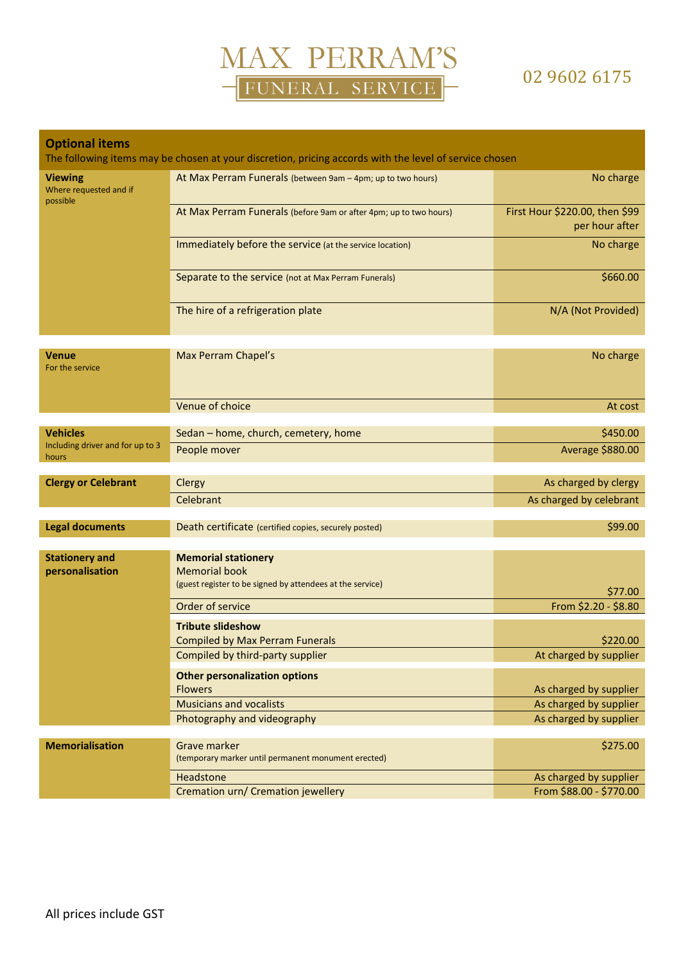

### 02 9602 6175

| <b>Optional items</b><br>The following items may be chosen at your discretion, pricing accords with the level of service chosen |                                                                                                                 |                                                  |  |
|---------------------------------------------------------------------------------------------------------------------------------|-----------------------------------------------------------------------------------------------------------------|--------------------------------------------------|--|
| <b>Viewing</b><br>Where requested and if<br>possible                                                                            | At Max Perram Funerals (between 9am - 4pm; up to two hours)                                                     | No charge                                        |  |
|                                                                                                                                 | At Max Perram Funerals (before 9am or after 4pm; up to two hours)                                               | First Hour \$220.00, then \$99<br>per hour after |  |
|                                                                                                                                 | Immediately before the service (at the service location)                                                        | No charge                                        |  |
|                                                                                                                                 | Separate to the service (not at Max Perram Funerals)                                                            | \$660.00                                         |  |
|                                                                                                                                 | The hire of a refrigeration plate                                                                               | N/A (Not Provided)                               |  |
| <b>Venue</b><br>For the service                                                                                                 | Max Perram Chapel's                                                                                             | No charge                                        |  |
|                                                                                                                                 | Venue of choice                                                                                                 | At cost                                          |  |
| <b>Vehicles</b>                                                                                                                 | Sedan - home, church, cemetery, home                                                                            | \$450.00                                         |  |
| Including driver and for up to 3<br>hours                                                                                       | People mover                                                                                                    | Average \$880.00                                 |  |
| <b>Clergy or Celebrant</b>                                                                                                      | Clergy                                                                                                          | As charged by clergy                             |  |
|                                                                                                                                 | Celebrant                                                                                                       | As charged by celebrant                          |  |
| <b>Legal documents</b>                                                                                                          | Death certificate (certified copies, securely posted)                                                           | \$99.00                                          |  |
| <b>Stationery and</b><br>personalisation                                                                                        | <b>Memorial stationery</b><br><b>Memorial book</b><br>(guest register to be signed by attendees at the service) | \$77.00                                          |  |
|                                                                                                                                 | Order of service                                                                                                | From \$2.20 - \$8.80                             |  |
|                                                                                                                                 | <b>Tribute slideshow</b>                                                                                        |                                                  |  |
|                                                                                                                                 | Compiled by Max Perram Funerals                                                                                 | \$220.00                                         |  |
|                                                                                                                                 | Compiled by third-party supplier                                                                                | At charged by supplier                           |  |
|                                                                                                                                 | <b>Other personalization options</b>                                                                            |                                                  |  |
|                                                                                                                                 | <b>Flowers</b><br><b>Musicians and vocalists</b>                                                                | As charged by supplier<br>As charged by supplier |  |
|                                                                                                                                 | Photography and videography                                                                                     | As charged by supplier                           |  |
|                                                                                                                                 |                                                                                                                 |                                                  |  |
| <b>Memorialisation</b>                                                                                                          | <b>Grave marker</b><br>(temporary marker until permanent monument erected)                                      | \$275.00                                         |  |
|                                                                                                                                 | Headstone                                                                                                       | As charged by supplier                           |  |
|                                                                                                                                 | Cremation urn/ Cremation jewellery                                                                              | From \$88.00 - \$770.00                          |  |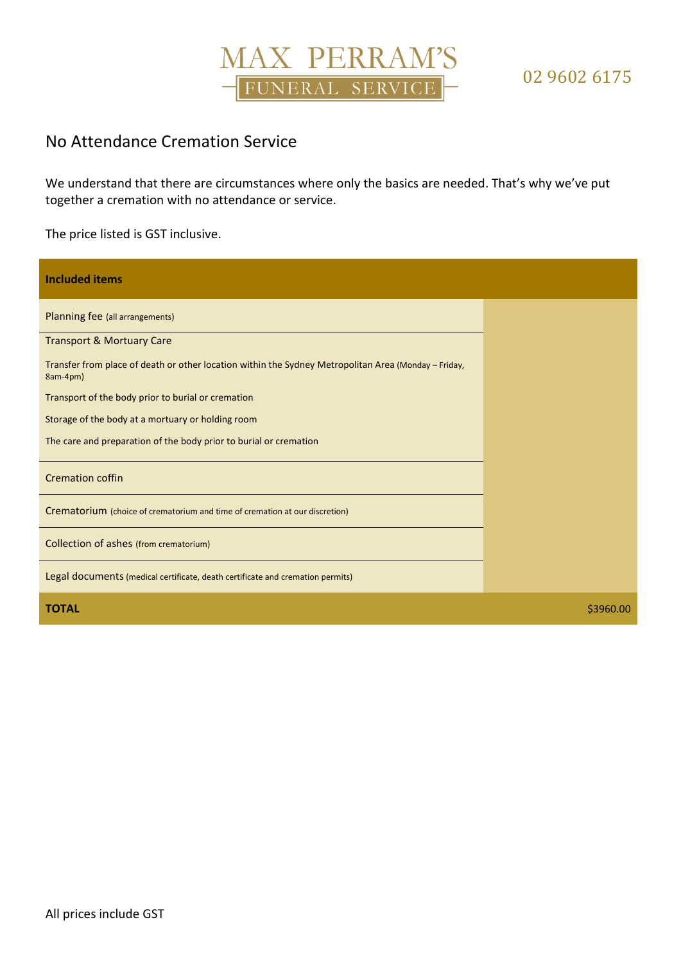## MAX PERRAM'S FUNERAL SERVICE

### No Attendance Cremation Service

We understand that there are circumstances where only the basics are needed. That's why we've put together a cremation with no attendance or service.

The price listed is GST inclusive.

| <b>Included items</b>                                                                                            |           |
|------------------------------------------------------------------------------------------------------------------|-----------|
| Planning fee (all arrangements)                                                                                  |           |
| <b>Transport &amp; Mortuary Care</b>                                                                             |           |
| Transfer from place of death or other location within the Sydney Metropolitan Area (Monday - Friday,<br>8am-4pm) |           |
| Transport of the body prior to burial or cremation                                                               |           |
| Storage of the body at a mortuary or holding room                                                                |           |
| The care and preparation of the body prior to burial or cremation                                                |           |
| <b>Cremation coffin</b>                                                                                          |           |
| Crematorium (choice of crematorium and time of cremation at our discretion)                                      |           |
| Collection of ashes (from crematorium)                                                                           |           |
| Legal documents (medical certificate, death certificate and cremation permits)                                   |           |
| <b>TOTAL</b>                                                                                                     | \$3960.00 |